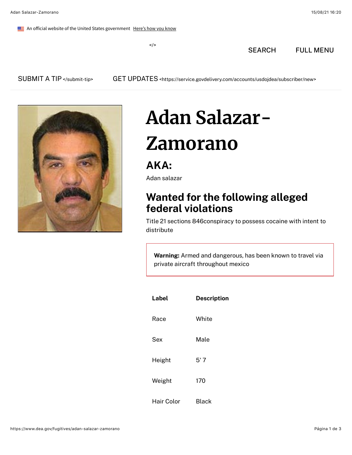An official website of the United States government Here's how you know

 $\lt/\gt$ 

[SEARCH](https://search.dea.gov/search?query=&affiliate=justice-dea) FULL MENU



## **Adan Salazar-**

## **Zamorano**

## **AKA:**

Adan salazar

## **Wanted for the following alleged federal violations**

Title 21 sections 846conspiracy to possess cocaine with intent to distribute

**Warning:** Armed and dangerous, has been known to travel via private aircraft throughout mexico

| Label      | <b>Description</b> |
|------------|--------------------|
| Race       | White              |
| Sex        | Male               |
| Height     | 5' 7               |
| Weight     | 170                |
| Hair Color | Black              |